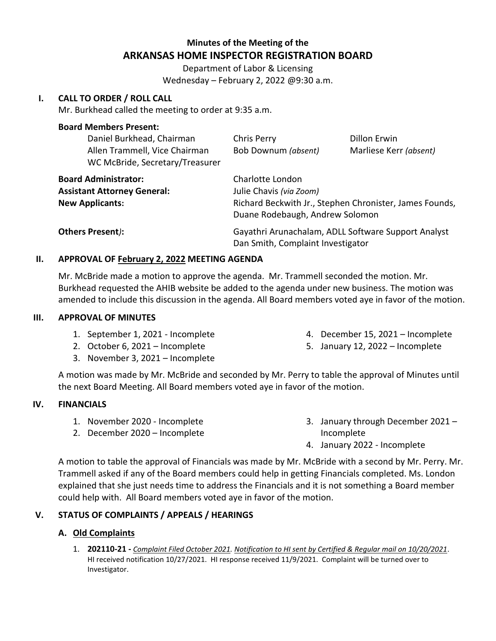# **Minutes of the Meeting of the ARKANSAS HOME INSPECTOR REGISTRATION BOARD**

Department of Labor & Licensing Wednesday – February 2, 2022 @9:30 a.m.

#### **I. CALL TO ORDER / ROLL CALL**

Mr. Burkhead called the meeting to order at 9:35 a.m.

#### **Board Members Present:**

| Daniel Burkhead, Chairman<br>Allen Trammell, Vice Chairman<br>WC McBride, Secretary/Treasurer | Chris Perry<br>Bob Downum (absent)                                                                                                        | <b>Dillon Erwin</b><br>Marliese Kerr (absent) |
|-----------------------------------------------------------------------------------------------|-------------------------------------------------------------------------------------------------------------------------------------------|-----------------------------------------------|
| <b>Board Administrator:</b><br><b>Assistant Attorney General:</b><br><b>New Applicants:</b>   | Charlotte London<br>Julie Chavis (via Zoom)<br>Richard Beckwith Jr., Stephen Chronister, James Founds,<br>Duane Rodebaugh, Andrew Solomon |                                               |
| Others Present):                                                                              | Gayathri Arunachalam, ADLL Software Support Analyst<br>Dan Smith, Complaint Investigator                                                  |                                               |

#### **II. APPROVAL OF February 2, 2022 MEETING AGENDA**

Mr. McBride made a motion to approve the agenda. Mr. Trammell seconded the motion. Mr. Burkhead requested the AHIB website be added to the agenda under new business. The motion was amended to include this discussion in the agenda. All Board members voted aye in favor of the motion.

#### **III. APPROVAL OF MINUTES**

- 1. September 1, 2021 Incomplete
- 2. October 6, 2021 Incomplete
- 3. November 3, 2021 Incomplete
- 4. December 15, 2021 Incomplete
- 5. January 12, 2022 Incomplete

A motion was made by Mr. McBride and seconded by Mr. Perry to table the approval of Minutes until the next Board Meeting. All Board members voted aye in favor of the motion.

#### **IV. FINANCIALS**

- 1. November 2020 Incomplete
- 2. December 2020 Incomplete
- 3. January through December 2021 Incomplete
- 4. January 2022 Incomplete

A motion to table the approval of Financials was made by Mr. McBride with a second by Mr. Perry. Mr. Trammell asked if any of the Board members could help in getting Financials completed. Ms. London explained that she just needs time to address the Financials and it is not something a Board member could help with. All Board members voted aye in favor of the motion.

#### **V. STATUS OF COMPLAINTS / APPEALS / HEARINGS**

#### **A. Old Complaints**

1. **202110-21 -** *Complaint Filed October 2021. Notification to HI sent by Certified & Regular mail on 10/20/2021*. HI received notification 10/27/2021. HI response received 11/9/2021. Complaint will be turned over to Investigator.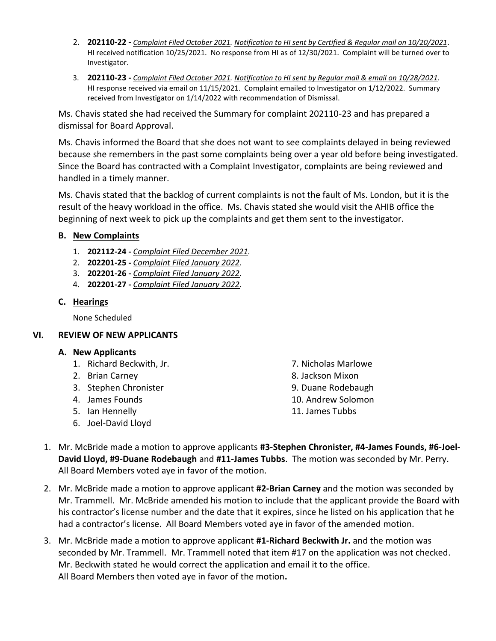- 2. **202110-22 -** *Complaint Filed October 2021. Notification to HI sent by Certified & Regular mail on 10/20/2021*. HI received notification 10/25/2021. No response from HI as of 12/30/2021. Complaint will be turned over to Investigator.
- 3. **202110-23 -** *Complaint Filed October 2021. Notification to HI sent by Regular mail & email on 10/28/2021.* HI response received via email on 11/15/2021. Complaint emailed to Investigator on 1/12/2022. Summary received from Investigator on 1/14/2022 with recommendation of Dismissal.

Ms. Chavis stated she had received the Summary for complaint 202110-23 and has prepared a dismissal for Board Approval.

Ms. Chavis informed the Board that she does not want to see complaints delayed in being reviewed because she remembers in the past some complaints being over a year old before being investigated. Since the Board has contracted with a Complaint Investigator, complaints are being reviewed and handled in a timely manner.

Ms. Chavis stated that the backlog of current complaints is not the fault of Ms. London, but it is the result of the heavy workload in the office. Ms. Chavis stated she would visit the AHIB office the beginning of next week to pick up the complaints and get them sent to the investigator.

### **B. New Complaints**

- 1. **202112-24 -** *Complaint Filed December 2021.*
- 2. **202201-25 -** *Complaint Filed January 2022.*
- 3. **202201-26 -** *Complaint Filed January 2022.*
- 4. **202201-27 -** *Complaint Filed January 2022.*

## **C. Hearings**

None Scheduled

### **VI. REVIEW OF NEW APPLICANTS**

### **A. New Applicants**

- 1. Richard Beckwith, Jr. 2008 and 2. Nicholas Marlowe
- 
- 3. Stephen Chronister 1986 and 1997 and 1998. Duane Rodebaugh
- 
- 5. Ian Hennelly 11. James Tubbs
- 6. Joel-David Lloyd
- 2. Brian Carney **8. Jackson Mixon** 4. James Founds 10. Andrew Solomon
- 1. Mr. McBride made a motion to approve applicants **#3-Stephen Chronister, #4-James Founds, #6-Joel-David Lloyd, #9-Duane Rodebaugh** and **#11-James Tubbs**. The motion was seconded by Mr. Perry. All Board Members voted aye in favor of the motion.
- 2. Mr. McBride made a motion to approve applicant **#2-Brian Carney** and the motion was seconded by Mr. Trammell. Mr. McBride amended his motion to include that the applicant provide the Board with his contractor's license number and the date that it expires, since he listed on his application that he had a contractor's license. All Board Members voted aye in favor of the amended motion.
- 3. Mr. McBride made a motion to approve applicant **#1-Richard Beckwith Jr.** and the motion was seconded by Mr. Trammell. Mr. Trammell noted that item #17 on the application was not checked. Mr. Beckwith stated he would correct the application and email it to the office. All Board Members then voted aye in favor of the motion**.**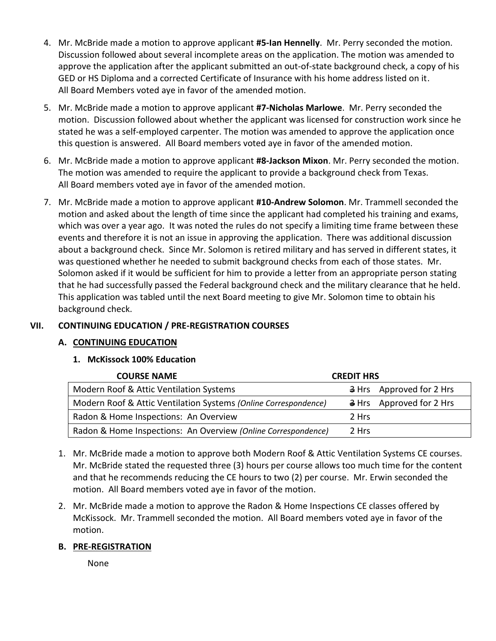- 4. Mr. McBride made a motion to approve applicant **#5-Ian Hennelly**. Mr. Perry seconded the motion. Discussion followed about several incomplete areas on the application. The motion was amended to approve the application after the applicant submitted an out-of-state background check, a copy of his GED or HS Diploma and a corrected Certificate of Insurance with his home address listed on it. All Board Members voted aye in favor of the amended motion.
- 5. Mr. McBride made a motion to approve applicant **#7-Nicholas Marlowe**. Mr. Perry seconded the motion. Discussion followed about whether the applicant was licensed for construction work since he stated he was a self-employed carpenter. The motion was amended to approve the application once this question is answered. All Board members voted aye in favor of the amended motion.
- 6. Mr. McBride made a motion to approve applicant **#8-Jackson Mixon**. Mr. Perry seconded the motion. The motion was amended to require the applicant to provide a background check from Texas. All Board members voted aye in favor of the amended motion.
- 7. Mr. McBride made a motion to approve applicant **#10-Andrew Solomon**. Mr. Trammell seconded the motion and asked about the length of time since the applicant had completed his training and exams, which was over a year ago. It was noted the rules do not specify a limiting time frame between these events and therefore it is not an issue in approving the application. There was additional discussion about a background check. Since Mr. Solomon is retired military and has served in different states, it was questioned whether he needed to submit background checks from each of those states. Mr. Solomon asked if it would be sufficient for him to provide a letter from an appropriate person stating that he had successfully passed the Federal background check and the military clearance that he held. This application was tabled until the next Board meeting to give Mr. Solomon time to obtain his background check.

## **VII. CONTINUING EDUCATION / PRE-REGISTRATION COURSES**

### **A. CONTINUING EDUCATION**

### **1. McKissock 100% Education**

| <b>COURSE NAME</b>                                              | <b>CREDIT HRS</b>                    |
|-----------------------------------------------------------------|--------------------------------------|
| Modern Roof & Attic Ventilation Systems                         | $\frac{1}{2}$ Hrs Approved for 2 Hrs |
| Modern Roof & Attic Ventilation Systems (Online Correspondence) | $\frac{3}{2}$ Hrs Approved for 2 Hrs |
| Radon & Home Inspections: An Overview                           | 2 Hrs                                |
| Radon & Home Inspections: An Overview (Online Correspondence)   | 2 Hrs                                |

- 1. Mr. McBride made a motion to approve both Modern Roof & Attic Ventilation Systems CE courses. Mr. McBride stated the requested three (3) hours per course allows too much time for the content and that he recommends reducing the CE hours to two (2) per course. Mr. Erwin seconded the motion. All Board members voted aye in favor of the motion.
- 2. Mr. McBride made a motion to approve the Radon & Home Inspections CE classes offered by McKissock. Mr. Trammell seconded the motion. All Board members voted aye in favor of the motion.

### **B. PRE-REGISTRATION**

None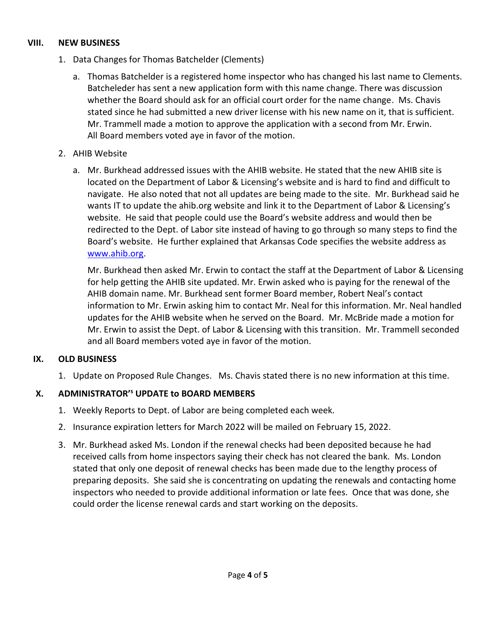### **VIII. NEW BUSINESS**

- 1. Data Changes for Thomas Batchelder (Clements)
	- a. Thomas Batchelder is a registered home inspector who has changed his last name to Clements. Batcheleder has sent a new application form with this name change. There was discussion whether the Board should ask for an official court order for the name change. Ms. Chavis stated since he had submitted a new driver license with his new name on it, that is sufficient. Mr. Trammell made a motion to approve the application with a second from Mr. Erwin. All Board members voted aye in favor of the motion.
- 2. AHIB Website
	- a. Mr. Burkhead addressed issues with the AHIB website. He stated that the new AHIB site is located on the Department of Labor & Licensing's website and is hard to find and difficult to navigate. He also noted that not all updates are being made to the site. Mr. Burkhead said he wants IT to update the ahib.org website and link it to the Department of Labor & Licensing's website. He said that people could use the Board's website address and would then be redirected to the Dept. of Labor site instead of having to go through so many steps to find the Board's website. He further explained that Arkansas Code specifies the website address as [www.ahib.org.](http://www.ahib.org/)

Mr. Burkhead then asked Mr. Erwin to contact the staff at the Department of Labor & Licensing for help getting the AHIB site updated. Mr. Erwin asked who is paying for the renewal of the AHIB domain name. Mr. Burkhead sent former Board member, Robert Neal's contact information to Mr. Erwin asking him to contact Mr. Neal for this information. Mr. Neal handled updates for the AHIB website when he served on the Board. Mr. McBride made a motion for Mr. Erwin to assist the Dept. of Labor & Licensing with this transition. Mr. Trammell seconded and all Board members voted aye in favor of the motion.

### **IX. OLD BUSINESS**

1. Update on Proposed Rule Changes. Ms. Chavis stated there is no new information at this time.

## **X. ADMINISTRATOR'<sup>s</sup> UPDATE to BOARD MEMBERS**

- 1. Weekly Reports to Dept. of Labor are being completed each week.
- 2. Insurance expiration letters for March 2022 will be mailed on February 15, 2022.
- 3. Mr. Burkhead asked Ms. London if the renewal checks had been deposited because he had received calls from home inspectors saying their check has not cleared the bank. Ms. London stated that only one deposit of renewal checks has been made due to the lengthy process of preparing deposits. She said she is concentrating on updating the renewals and contacting home inspectors who needed to provide additional information or late fees. Once that was done, she could order the license renewal cards and start working on the deposits.